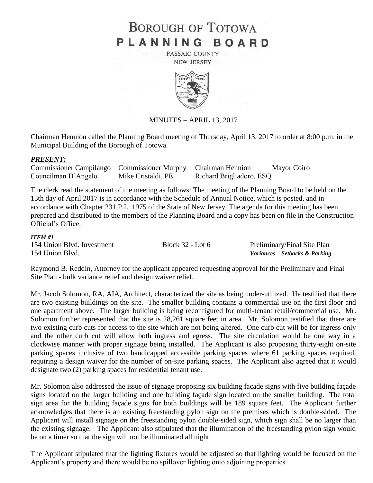# **BOROUGH OF TOTOWA** PLANNING BOARD

PASSAIC COUNTY **NEW JERSEY** 



MINUTES – APRIL 13, 2017

Chairman Hennion called the Planning Board meeting of Thursday, April 13, 2017 to order at 8:00 p.m. in the Municipal Building of the Borough of Totowa.

#### *PRESENT:*

| Commissioner Campilango Commissioner Murphy Chairman Hennion |                    |                          | Mayor Coiro |
|--------------------------------------------------------------|--------------------|--------------------------|-------------|
| Councilman D'Angelo                                          | Mike Cristaldi, PE | Richard Brigliadoro, ESQ |             |

The clerk read the statement of the meeting as follows: The meeting of the Planning Board to be held on the 13th day of April 2017 is in accordance with the Schedule of Annual Notice, which is posted, and in accordance with Chapter 231 P.L. 1975 of the State of New Jersey. The agenda for this meeting has been prepared and distributed to the members of the Planning Board and a copy has been on file in the Construction Official's Office.

#### *ITEM #1*

| 154 Union Blvd. Investment | Block $32 -$ Lot 6 | Preliminary/Final Site Plan    |
|----------------------------|--------------------|--------------------------------|
| 154 Union Blvd.            |                    | Variances - Setbacks & Parking |

Raymond B. Reddin, Attorney for the applicant appeared requesting approval for the Preliminary and Final Site Plan - bulk variance relief and design waiver relief.

Mr. Jacob Solomon, RA, AIA, Architect, characterized the site as being under-utilized. He testified that there are two existing buildings on the site. The smaller building contains a commercial use on the first floor and one apartment above. The larger building is being reconfigured for multi-tenant retail/commercial use. Mr. Solomon further represented that the site is 28,261 square feet in area. Mr. Solomon testified that there are two existing curb cuts for access to the site which are not being altered. One curb cut will be for ingress only and the other curb cut will allow both ingress and egress. The site circulation would be one way in a clockwise manner with proper signage being installed. The Applicant is also proposing thirty-eight on-site parking spaces inclusive of two handicapped accessible parking spaces where 61 parking spaces required, requiring a design waiver for the number of on-site parking spaces. The Applicant also agreed that it would designate two (2) parking spaces for residential tenant use.

Mr. Solomon also addressed the issue of signage proposing six building façade signs with five building façade signs located on the larger building and one building façade sign located on the smaller building. The total sign area for the building façade signs for both buildings will be 189 square feet. The Applicant further acknowledges that there is an existing freestanding pylon sign on the premises which is double-sided. The Applicant will install signage on the freestanding pylon double-sided sign, which sign shall be no larger than the existing signage. The Applicant also stipulated that the illumination of the freestanding pylon sign would be on a timer so that the sign will not be illuminated all night.

The Applicant stipulated that the lighting fixtures would be adjusted so that lighting would be focused on the Applicant's property and there would be no spillover lighting onto adjoining properties.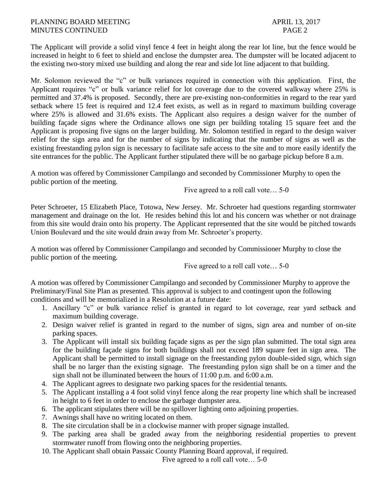### PLANNING BOARD MEETING APRIL 13, 2017 MINUTES CONTINUED PAGE 2

The Applicant will provide a solid vinyl fence 4 feet in height along the rear lot line, but the fence would be increased in height to 6 feet to shield and enclose the dumpster area. The dumpster will be located adjacent to the existing two-story mixed use building and along the rear and side lot line adjacent to that building.

Mr. Solomon reviewed the "c" or bulk variances required in connection with this application. First, the Applicant requires "c" or bulk variance relief for lot coverage due to the covered walkway where 25% is permitted and 37.4% is proposed. Secondly, there are pre-existing non-conformities in regard to the rear yard setback where 15 feet is required and 12.4 feet exists, as well as in regard to maximum building coverage where 25% is allowed and 31.6% exists. The Applicant also requires a design waiver for the number of building façade signs where the Ordinance allows one sign per building totaling 15 square feet and the Applicant is proposing five signs on the larger building. Mr. Solomon testified in regard to the design waiver relief for the sign area and for the number of signs by indicating that the number of signs as well as the existing freestanding pylon sign is necessary to facilitate safe access to the site and to more easily identify the site entrances for the public. The Applicant further stipulated there will be no garbage pickup before 8 a.m.

A motion was offered by Commissioner Campilango and seconded by Commissioner Murphy to open the public portion of the meeting.

Five agreed to a roll call vote… 5-0

Peter Schroeter, 15 Elizabeth Place, Totowa, New Jersey. Mr. Schroeter had questions regarding stormwater management and drainage on the lot. He resides behind this lot and his concern was whether or not drainage from this site would drain onto his property. The Applicant represented that the site would be pitched towards Union Boulevard and the site would drain away from Mr. Schroeter's property.

A motion was offered by Commissioner Campilango and seconded by Commissioner Murphy to close the public portion of the meeting.

Five agreed to a roll call vote… 5-0

A motion was offered by Commissioner Campilango and seconded by Commissioner Murphy to approve the Preliminary/Final Site Plan as presented. This approval is subject to and contingent upon the following conditions and will be memorialized in a Resolution at a future date:

- 1. Ancillary "c" or bulk variance relief is granted in regard to lot coverage, rear yard setback and maximum building coverage.
- 2. Design waiver relief is granted in regard to the number of signs, sign area and number of on-site parking spaces.
- 3. The Applicant will install six building façade signs as per the sign plan submitted. The total sign area for the building façade signs for both buildings shall not exceed 189 square feet in sign area. The Applicant shall be permitted to install signage on the freestanding pylon double-sided sign, which sign shall be no larger than the existing signage. The freestanding pylon sign shall be on a timer and the sign shall not be illuminated between the hours of 11:00 p.m. and 6:00 a.m.
- 4. The Applicant agrees to designate two parking spaces for the residential tenants.
- 5. The Applicant installing a 4 foot solid vinyl fence along the rear property line which shall be increased in height to 6 feet in order to enclose the garbage dumpster area.
- 6. The applicant stipulates there will be no spillover lighting onto adjoining properties.
- 7. Awnings shall have no writing located on them.
- 8. The site circulation shall be in a clockwise manner with proper signage installed.
- 9. The parking area shall be graded away from the neighboring residential properties to prevent stormwater runoff from flowing onto the neighboring properties.
- 10. The Applicant shall obtain Passaic County Planning Board approval, if required.

Five agreed to a roll call vote… 5-0